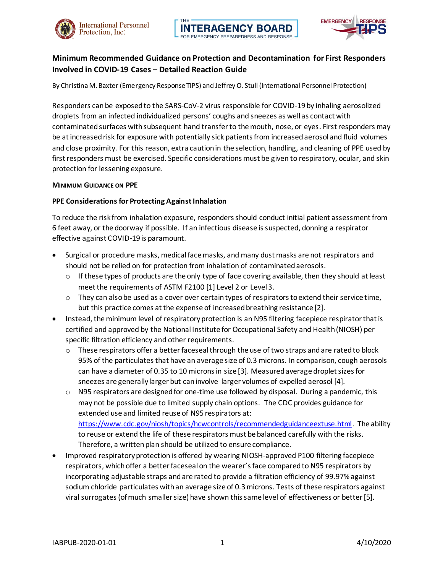



# **Minimum Recommended Guidance on Protection and Decontamination for First Responders Involved in COVID-19 Cases – Detailed Reaction Guide**

By Christina M. Baxter (Emergency Response TIPS) and Jeffrey O. Stull (International Personnel Protection)

Responders can be exposed to the SARS-CoV-2 virus responsible for COVID-19 by inhaling aerosolized droplets from an infected individualized persons' coughs and sneezes as well as contact with contaminated surfaces with subsequent hand transfer to the mouth, nose, or eyes. First responders may be at increased risk for exposure with potentially sick patients from increased aerosol and fluid volumes and close proximity. For this reason, extra caution in the selection, handling, and cleaning of PPE used by first responders must be exercised. Specific considerations must be given to respiratory, ocular, and skin protection for lessening exposure.

#### **MINIMUM GUIDANCE ON PPE**

#### **PPE Considerations for Protecting Against Inhalation**

To reduce the risk from inhalation exposure, responders should conduct initial patient assessment from 6 feet away, or the doorway if possible. If an infectious disease is suspected, donning a respirator effective against COVID-19 is paramount.

- Surgical or procedure masks, medical face masks, and many dust masks are not respirators and should not be relied on for protection from inhalation of contaminated aerosols.
	- $\circ$  If these types of products are the only type of face covering available, then they should at least meet the requirements of ASTM F2100 [1] Level 2 or Level 3.
	- $\circ$  They can also be used as a cover over certain types of respirators to extend their service time, but this practice comes at the expense of increased breathing resistance [2].
- Instead, the minimum level of respiratory protection is an N95 filtering facepiece respirator that is certified and approved by the National Institute for Occupational Safety and Health (NIOSH) per specific filtration efficiency and other requirements.
	- $\circ$  These respirators offer a better faceseal through the use of two straps and are rated to block 95% of the particulates that have an average size of 0.3 microns. In comparison, cough aerosols can have a diameter of 0.35 to 10 microns in size [3]. Measured average droplet sizes for sneezes are generally larger but can involve larger volumes of expelled aerosol [4].
	- $\circ$  N95 respirators are designed for one-time use followed by disposal. During a pandemic, this may not be possible due to limited supply chain options. The CDC provides guidance for extended use and limited reuse of N95 respirators at: <https://www.cdc.gov/niosh/topics/hcwcontrols/recommendedguidanceextuse.html>. The ability to reuse or extend the life of these respirators must be balanced carefully with the risks. Therefore, a written plan should be utilized to ensure compliance.
- Improved respiratory protection is offered by wearing NIOSH-approved P100 filtering facepiece respirators, which offer a better faceseal on the wearer's face compared to N95 respirators by incorporating adjustable straps and are rated to provide a filtration efficiency of 99.97% against sodium chloride particulates with an average size of 0.3 microns. Tests of these respirators against viral surrogates (of much smaller size) have shown this same level of effectiveness or better [5].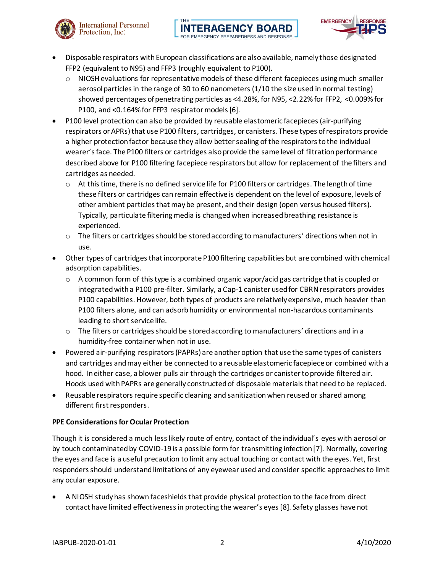

- Disposable respirators with European classifications are also available, namely those designated FFP2 (equivalent to N95) and FFP3 (roughly equivalent to P100).
	- $\circ$  NIOSH evaluations for representative models of these different facepieces using much smaller aerosol particles in the range of 30 to 60 nanometers (1/10 the size used in normal testing) showed percentages of penetrating particles as <4.28%, for N95, <2.22% for FFP2, <0.009% for P100, and <0.164% for FFP3 respirator models [6].
- P100 level protection can also be provided by reusable elastomeric facepieces (air-purifying respirators or APRs) that use P100 filters, cartridges, or canisters.These types of respirators provide a higher protection factor because they allow better sealing of the respirators to the individual wearer's face. The P100 filters or cartridges also provide the same level of filtration performance described above for P100 filtering facepiece respirators but allow for replacement of the filters and cartridges as needed.
	- $\circ$  At this time, there is no defined service life for P100 filters or cartridges. The length of time these filters or cartridges can remain effective is dependent on the level of exposure, levels of other ambient particles that may be present, and their design (open versus housed filters). Typically, particulate filtering media is changed when increased breathing resistance is experienced.
	- $\circ$  The filters or cartridges should be stored according to manufacturers' directions when not in use.
- Other types of cartridges that incorporate P100 filtering capabilities but are combined with chemical adsorption capabilities.
	- $\circ$  A common form of this type is a combined organic vapor/acid gas cartridge that is coupled or integrated with a P100 pre-filter. Similarly, a Cap-1 canister used for CBRN respirators provides P100 capabilities. However, both types of products are relatively expensive, much heavier than P100 filters alone, and can adsorb humidity or environmental non-hazardous contaminants leading to short service life.
	- $\circ$  The filters or cartridges should be stored according to manufacturers' directions and in a humidity-free container when not in use.
- Powered air-purifying respirators (PAPRs) are another option that use the same types of canisters and cartridges and may either be connected to a reusable elastomeric facepiece or combined with a hood. In either case, a blower pulls air through the cartridges or canister to provide filtered air. Hoods used with PAPRs are generally constructed of disposable materials that need to be replaced.
- Reusable respirators require specific cleaning and sanitization when reused or shared among different first responders.

# **PPE Considerationsfor Ocular Protection**

**International Personnel** 

Protection, Inc<sup>\*</sup>

Though it is considered a much less likely route of entry, contact of the individual's eyes with aerosol or by touch contaminated by COVID-19 is a possible form for transmitting infection [7]. Normally, covering the eyes and face is a useful precaution to limit any actual touching or contact with the eyes. Yet, first responders should understand limitations of any eyewear used and consider specific approaches to limit any ocular exposure.

A NIOSH study has shown faceshields that provide physical protection to the face from direct contact have limited effectiveness in protecting the wearer's eyes [8]. Safety glasses have not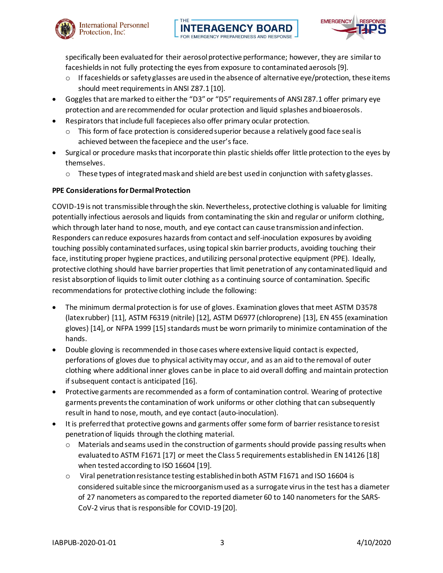



specifically been evaluated for their aerosol protective performance; however, they are similar to faceshields in not fully protecting the eyes from exposure to contaminated aerosols [9].

- $\circ$  If faceshields or safety glasses are used in the absence of alternative eye/protection, these items should meet requirements in ANSI Z87.1 [10].
- Goggles that are marked to either the "D3" or "D5" requirements of ANSI Z87.1 offer primary eye protection and are recommended for ocular protection and liquid splashes and bioaerosols.
- Respirators that include full facepieces also offer primary ocular protection.
	- $\circ$  This form of face protection is considered superior because a relatively good face seal is achieved between the facepiece and the user's face.
- Surgical or procedure masks that incorporate thin plastic shields offer little protection to the eyes by themselves.
	- o These types of integrated mask and shield are best used in conjunction with safety glasses.

# **PPE Considerations for Dermal Protection**

COVID-19 is not transmissible through the skin. Nevertheless, protective clothing is valuable for limiting potentially infectious aerosols and liquids from contaminating the skin and regular or uniform clothing, which through later hand to nose, mouth, and eye contact can cause transmission and infection. Responders can reduce exposures hazards from contact and self-inoculation exposures by avoiding touching possibly contaminated surfaces, using topical skin barrier products, avoiding touching their face, instituting proper hygiene practices, and utilizing personal protective equipment (PPE). Ideally, protective clothing should have barrier properties that limit penetration of any contaminated liquid and resist absorption of liquids to limit outer clothing as a continuing source of contamination. Specific recommendations for protective clothing include the following:

- The minimum dermal protection is for use of gloves. Examination gloves that meet ASTM D3578 (latex rubber) [11], ASTM F6319 (nitrile) [12], ASTM D6977 (chloroprene) [13], EN 455 (examination gloves) [14], or NFPA 1999 [15] standards must be worn primarily to minimize contamination of the hands.
- Double gloving is recommended in those cases where extensive liquid contact is expected, perforations of gloves due to physical activity may occur, and as an aid to the removal of outer clothing where additional inner gloves can be in place to aid overall doffing and maintain protection if subsequent contact is anticipated [16].
- Protective garments are recommended as a form of contamination control. Wearing of protective garments prevents the contamination of work uniforms or other clothing that can subsequently result in hand to nose, mouth, and eye contact (auto-inoculation).
- It is preferred that protective gowns and garments offer some form of barrier resistance to resist penetration of liquids through the clothing material.
	- $\circ$  Materials and seams used in the construction of garments should provide passing results when evaluated to ASTM F1671 [17] or meet the Class 5 requirements established in EN 14126 [18] when tested according to ISO 16604 [19].
	- o Viral penetration resistance testing established in both ASTM F1671 and ISO 16604 is considered suitable since the microorganism used as a surrogate virus in the test has a diameter of 27 nanometers as compared to the reported diameter 60 to 140 nanometers for the SARS-CoV-2 virus that is responsible for COVID-19 [20].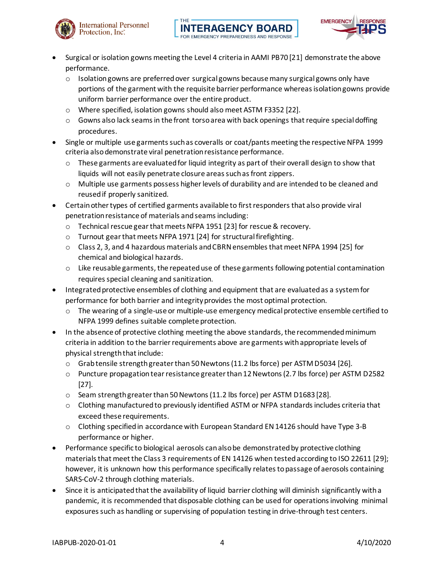



- Surgical or isolation gowns meeting the Level 4 criteria in AAMI PB70 [21] demonstrate the above performance.
	- $\circ$  Isolation gowns are preferred over surgical gowns because many surgical gowns only have portions of the garment with the requisite barrier performance whereas isolation gowns provide uniform barrier performance over the entire product.
	- o Where specified, isolation gowns should also meet ASTM F3352 [22].
	- $\circ$  Gowns also lack seams in the front torso area with back openings that require special doffing procedures.
- Single or multiple use garments such as coveralls or coat/pants meeting the respective NFPA 1999 criteria also demonstrate viral penetration resistance performance.
	- $\circ$  These garments are evaluated for liquid integrity as part of their overall design to show that liquids will not easily penetrate closure areas such as front zippers.
	- o Multiple use garments possess higher levels of durability and are intended to be cleaned and reused if properly sanitized.
- Certain other types of certified garments available to first responders that also provide viral penetration resistance of materials and seams including:
	- o Technical rescue gear that meets NFPA 1951 [23] for rescue & recovery.
	- o Turnout gear that meets NFPA 1971 [24] for structural firefighting.
	- o Class 2, 3, and 4 hazardous materials and CBRN ensembles that meet NFPA 1994 [25] for chemical and biological hazards.
	- $\circ$  Like reusable garments, the repeated use of these garments following potential contamination requires special cleaning and sanitization.
- Integrated protective ensembles of clothing and equipment that are evaluated as a system for performance for both barrier and integrity provides the most optimal protection.
	- $\circ$  The wearing of a single-use or multiple-use emergency medical protective ensemble certified to NFPA 1999 defines suitable complete protection.
- In the absence of protective clothing meeting the above standards, the recommended minimum criteria in addition to the barrier requirements above are garments with appropriate levels of physical strength that include:
	- o Grab tensile strength greater than 50Newtons (11.2 lbs force) per ASTM D5034 [26].
	- o Puncture propagation tear resistance greater than 12Newtons (2.7 lbs force) per ASTM D2582 [27].
	- o Seam strength greater than 50 Newtons (11.2 lbs force) per ASTM D1683 [28].
	- o Clothing manufactured to previously identified ASTM or NFPA standards includes criteria that exceed these requirements.
	- o Clothing specified in accordance with European Standard EN 14126 should have Type 3-B performance or higher.
- Performance specific to biological aerosols can also be demonstrated by protective clothing materials that meet the Class 3 requirements of EN 14126 when tested according to ISO 22611 [29]; however, it is unknown how this performance specifically relates to passage of aerosols containing SARS-CoV-2 through clothing materials.
- Since it is anticipated that the availability of liquid barrier clothing will diminish significantly with a pandemic, it is recommended that disposable clothing can be used for operations involving minimal exposures such as handling or supervising of population testing in drive-through test centers.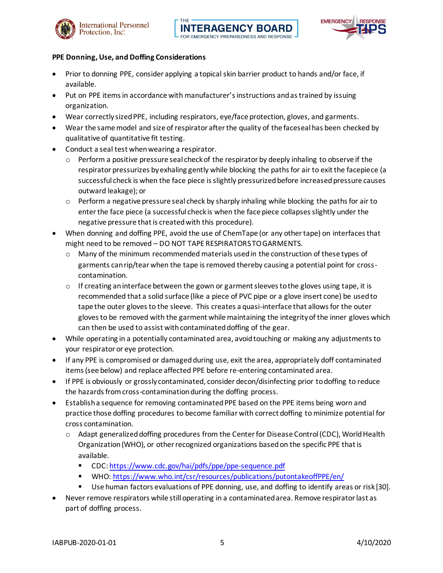





#### **PPE Donning, Use, and Doffing Considerations**

- Prior to donning PPE, consider applying a topical skin barrier product to hands and/or face, if available.
- Put on PPE items in accordance with manufacturer's instructions and as trained by issuing organization.
- Wear correctly sized PPE, including respirators, eye/face protection, gloves, and garments.
- Wear the same model and size of respirator after the quality of the faceseal has been checked by qualitative of quantitative fit testing.
- Conduct a seal test when wearing a respirator.
	- $\circ$  Perform a positive pressure seal check of the respirator by deeply inhaling to observe if the respirator pressurizes by exhaling gently while blocking the paths for air to exit the facepiece (a successful check is when the face piece is slightly pressurized before increased pressure causes outward leakage); or
	- $\circ$  Perform a negative pressure seal check by sharply inhaling while blocking the paths for air to enter the face piece (a successful check is when the face piece collapses slightly under the negative pressure that is created with this procedure).
- When donning and doffing PPE, avoid the use of ChemTape (or any other tape) on interfaces that might need to be removed – DO NOT TAPE RESPIRATORS TO GARMENTS.
	- o Many of the minimum recommended materials used in the construction of these types of garments can rip/tear when the tape is removed thereby causing a potential point for crosscontamination.
	- $\circ$  If creating an interface between the gown or garment sleeves to the gloves using tape, it is recommended that a solid surface (like a piece of PVC pipe or a glove insert cone) be used to tape the outer gloves to the sleeve. This creates a quasi-interface that allows for the outer gloves to be removed with the garment while maintaining the integrity of the inner gloves which can then be used to assist with contaminated doffing of the gear.
- While operating in a potentially contaminated area, avoid touching or making any adjustments to your respirator or eye protection.
- If any PPE is compromised or damaged during use, exit the area, appropriately doff contaminated items (see below) and replace affected PPE before re-entering contaminated area.
- If PPE is obviously or grossly contaminated, consider decon/disinfecting prior to doffing to reduce the hazards from cross-contamination during the doffing process.
- Establish a sequence for removing contaminated PPE based on the PPE items being worn and practice those doffing procedures to become familiar with correct doffing to minimize potential for cross contamination.
	- $\circ$  Adapt generalized doffing procedures from the Center for Disease Control (CDC), World Health Organization (WHO), or other recognized organizations based on the specific PPE that is available.
		- CDC[: https://www.cdc.gov/hai/pdfs/ppe/ppe-sequence.pdf](https://www.cdc.gov/hai/pdfs/ppe/ppe-sequence.pdf)
		- WHO[: https://www.who.int/csr/resources/publications/putontakeoffPPE/en/](https://www.who.int/csr/resources/publications/putontakeoffPPE/en/)
		- Use human factors evaluations of PPE donning, use, and doffing to identify areas or risk [30].
- Never remove respirators while still operating in a contaminated area. Remove respirator last as part of doffing process.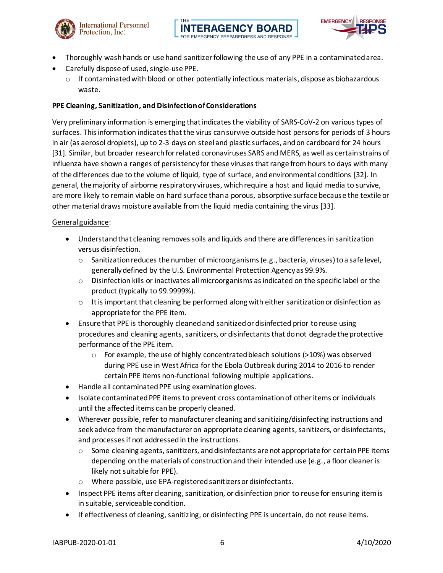





- Thoroughly wash hands or use hand sanitizer following the use of any PPE in a contaminated area.
- Carefully dispose of used, single-use PPE.
	- $\circ$  If contaminated with blood or other potentially infectious materials, dispose as biohazardous waste.

## **PPE Cleaning, Sanitization, and Disinfection of Considerations**

Very preliminary information is emerging that indicates the viability of SARS-CoV-2 on various types of surfaces. This information indicates that the virus can survive outside host persons for periods of 3 hours in air (as aerosol droplets), up to 2-3 days on steel and plastic surfaces, and on cardboard for 24 hours [31]. Similar, but broader research for related coronaviruses SARS and MERS, as well as certain strains of influenza have shown a ranges of persistency for these viruses that range from hours to days with many of the differences due to the volume of liquid, type of surface, and environmental conditions [32]. In general, the majority of airborne respiratory viruses, which require a host and liquid media to survive, are more likely to remain viable on hard surface than a porous, absorptive surface because the textile or other material draws moisture available from the liquid media containing the virus [33].

#### General guidance:

- Understand that cleaning removes soils and liquids and there are differences in sanitization versus disinfection.
	- o Sanitization reduces the number of microorganisms (e.g., bacteria, viruses) to a safe level, generally defined by the U.S. Environmental Protection Agency as 99.9%.
	- $\circ$  Disinfection kills or inactivates all microorganisms as indicated on the specific label or the product (typically to 99.9999%).
	- $\circ$  It is important that cleaning be performed along with either sanitization or disinfection as appropriate for the PPE item.
- Ensure that PPE is thoroughly cleaned and sanitized or disinfected prior to reuse using procedures and cleaning agents, sanitizers, or disinfectants that do not degrade the protective performance of the PPE item.
	- $\circ$  For example, the use of highly concentrated bleach solutions (>10%) was observed during PPE use in West Africa for the Ebola Outbreak during 2014 to 2016 to render certain PPE items non-functional following multiple applications.
- Handle all contaminated PPE using examination gloves.
- Isolate contaminated PPE items to prevent cross contamination of other items or individuals until the affected items can be properly cleaned.
- Wherever possible, refer to manufacturer cleaning and sanitizing/disinfecting instructions and seek advice from the manufacturer on appropriate cleaning agents, sanitizers, or disinfectants, and processes if not addressed in the instructions.
	- $\circ$  Some cleaning agents, sanitizers, and disinfectants are not appropriate for certain PPE items depending on the materials of construction and their intended use (e.g., a floor cleaner is likely not suitable for PPE).
	- o Where possible, use EPA-registered sanitizers or disinfectants.
- Inspect PPE items after cleaning, sanitization, or disinfection prior to reuse for ensuring item is in suitable, serviceable condition.
- If effectiveness of cleaning, sanitizing, or disinfecting PPE is uncertain, do not reuse items.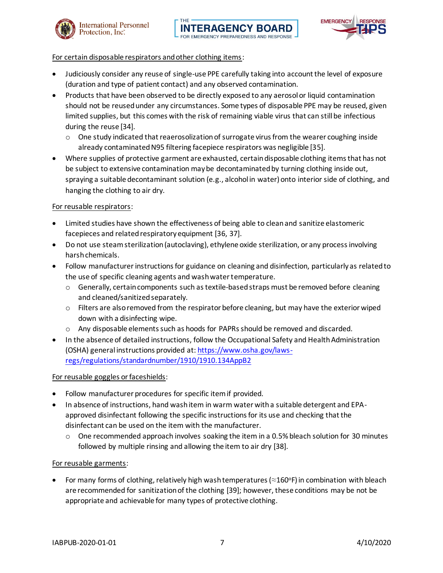



#### For certain disposable respirators and other clothing items:

- Judiciously consider any reuse of single-use PPE carefully taking into account the level of exposure (duration and type of patient contact) and any observed contamination.
- Products that have been observed to be directly exposed to any aerosol or liquid contamination should not be reused under any circumstances. Some types of disposable PPE may be reused, given limited supplies, but this comes with the risk of remaining viable virus that can still be infectious during the reuse [34].
	- $\circ$  One study indicated that reaerosolization of surrogate virus from the wearer coughing inside already contaminated N95 filtering facepiece respirators was negligible [35].
- Where supplies of protective garment are exhausted, certain disposable clothing items that has not be subject to extensive contamination may be decontaminated by turning clothing inside out, spraying a suitable decontaminant solution (e.g., alcohol in water) onto interior side of clothing, and hanging the clothing to air dry.

## For reusable respirators:

- Limited studies have shown the effectiveness of being able to clean and sanitize elastomeric facepieces and related respiratory equipment [36, 37].
- Do not use steam sterilization (autoclaving), ethylene oxide sterilization, or any process involving harsh chemicals.
- Follow manufacturer instructions for guidance on cleaning and disinfection, particularly as related to the use of specific cleaning agents and wash water temperature.
	- o Generally, certain components such as textile-basedstraps must be removed before cleaning and cleaned/sanitized separately.
	- $\circ$  Filters are also removed from the respirator before cleaning, but may have the exterior wiped down with a disinfecting wipe.
	- o Any disposable elements such as hoods for PAPRs should be removed and discarded.
- In the absence of detailed instructions, follow the Occupational Safety and Health Administration (OSHA) general instructions provided at[: https://www.osha.gov/laws](https://www.osha.gov/laws-regs/regulations/standardnumber/1910/1910.134AppB2)[regs/regulations/standardnumber/1910/1910.134AppB2](https://www.osha.gov/laws-regs/regulations/standardnumber/1910/1910.134AppB2)

#### For reusable goggles or faceshields:

- Follow manufacturer procedures for specific item if provided.
- In absence of instructions, hand wash item in warm water with a suitable detergent and EPAapproved disinfectant following the specific instructions for its use and checking that the disinfectant can be used on the item with the manufacturer.
	- $\circ$  One recommended approach involves soaking the item in a 0.5% bleach solution for 30 minutes followed by multiple rinsing and allowing the item to air dry [38].

#### For reusable garments:

For many forms of clothing, relatively high wash temperatures ( $\approx$ 160°F) in combination with bleach are recommended for sanitization of the clothing [39]; however, these conditions may be not be appropriate and achievable for many types of protective clothing.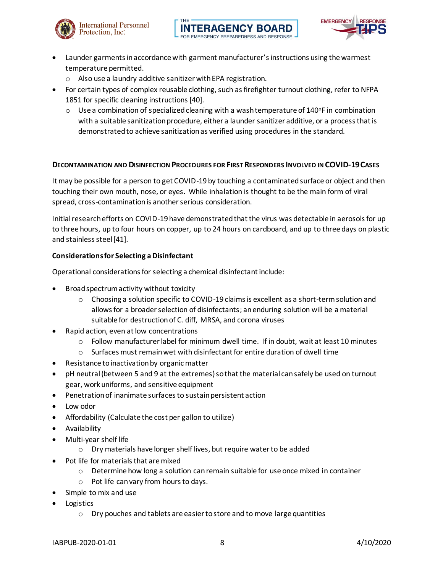



- Launder garments in accordance with garment manufacturer's instructions using the warmest temperature permitted.
	- o Also use a laundry additive sanitizer with EPA registration.

THE

- For certain types of complex reusable clothing, such as firefighter turnout clothing, refer to NFPA 1851 for specific cleaning instructions [40].
	- $\circ$  Use a combination of specialized cleaning with a wash temperature of 140°F in combination with a suitable sanitization procedure, either a launder sanitizer additive, or a process that is demonstratedto achieve sanitizationas verified using procedures in the standard.

## **DECONTAMINATION AND DISINFECTION PROCEDURES FOR FIRST RESPONDERS INVOLVED IN COVID-19CASES**

It may be possible for a person to get COVID-19 by touching a contaminated surface or object and then touching their own mouth, nose, or eyes. While inhalation is thought to be the main form of viral spread, cross-contamination is another serious consideration.

Initial research efforts on COVID-19 have demonstrated that the virus was detectable in aerosols for up to three hours, up to four hours on copper, up to 24 hours on cardboard, and up to three days on plastic and stainless steel [41].

## **Considerations for Selecting a Disinfectant**

Operational considerations for selecting a chemical disinfectant include:

- Broad spectrum activity without toxicity
	- $\circ$  Choosing a solution specific to COVID-19 claims is excellent as a short-term solution and allows for a broader selection of disinfectants; an enduring solution will be a material suitable for destruction of C. diff, MRSA, and corona viruses
- Rapid action, even at low concentrations
	- $\circ$  Follow manufacturer label for minimum dwell time. If in doubt, wait at least 10 minutes
	- $\circ$  Surfaces must remain wet with disinfectant for entire duration of dwell time
- Resistance to inactivation by organic matter
- pH neutral (between 5 and 9 at the extremes) so that the material can safely be used on turnout gear, work uniforms, and sensitive equipment
- Penetration of inanimate surfaces to sustain persistent action
- Low odor
- Affordability (Calculate the cost per gallon to utilize)
- Availability
- Multi-year shelf life
	- o Dry materials have longer shelf lives, but require water to be added
- Pot life for materials that are mixed
	- $\circ$  Determine how long a solution can remain suitable for use once mixed in container
	- o Pot life can vary from hours to days.
- Simple to mix and use
- **Logistics** 
	- o Dry pouches and tablets are easier to store and to move large quantities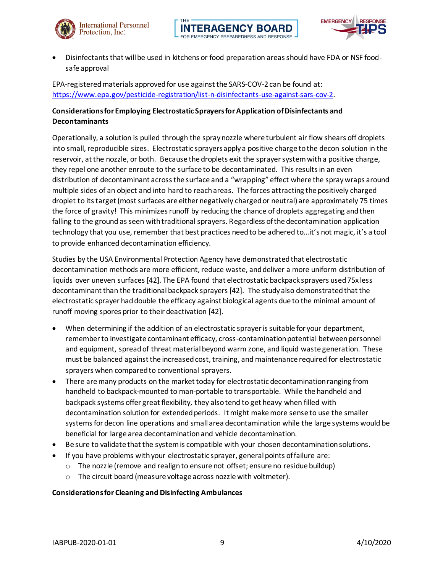





• Disinfectants that will be used in kitchens or food preparation areas should have FDA or NSF foodsafe approval

EPA-registered materials approved for use against the SARS-COV-2 can be found at: <https://www.epa.gov/pesticide-registration/list-n-disinfectants-use-against-sars-cov-2>.

# **Considerations for Employing Electrostatic Sprayers for Application of Disinfectants and Decontaminants**

Operationally, a solution is pulled through the spray nozzle where turbulent air flow shears off droplets into small, reproducible sizes. Electrostatic sprayers apply a positive charge to the decon solution in the reservoir, at the nozzle, or both. Because the droplets exit the sprayer system with a positive charge, they repel one another enroute to the surface to be decontaminated. This results in an even distribution of decontaminant across the surface and a "wrapping" effect where the spray wraps around multiple sides of an object and into hard to reach areas. The forces attracting the positively charged droplet to its target (most surfaces are either negatively charged or neutral) are approximately 75 times the force of gravity! This minimizes runoff by reducing the chance of droplets aggregating and then falling to the ground as seen with traditional sprayers. Regardless of the decontamination application technology that you use, remember that best practices need to be adhered to…it's not magic, it's a tool to provide enhanced decontamination efficiency.

Studies by the USA Environmental Protection Agency have demonstrated that electrostatic decontamination methods are more efficient, reduce waste, and deliver a more uniform distribution of liquids over uneven surfaces [42]. The EPA found that electrostatic backpack sprayers used 75x less decontaminant than the traditional backpack sprayers [42]. The study also demonstrated that the electrostatic sprayer had double the efficacy against biological agents due to the minimal amount of runoff moving spores prior to their deactivation [42].

- When determining if the addition of an electrostatic sprayer is suitable for your department, remember to investigate contaminant efficacy, cross-contamination potential between personnel and equipment, spread of threat material beyond warm zone, and liquid waste generation. These must be balanced against the increased cost, training, and maintenance required for electrostatic sprayers when compared to conventional sprayers.
- There are many products on the market today for electrostatic decontamination ranging from handheld to backpack-mounted to man-portable to transportable. While the handheld and backpack systems offer great flexibility, they also tend to get heavy when filled with decontamination solution for extended periods. It might make more sense to use the smaller systems for decon line operations and small area decontamination while the large systems would be beneficial for large area decontamination and vehicle decontamination.
- Be sure to validate that the system is compatible with your chosen decontamination solutions.
- If you have problems with your electrostatic sprayer, general points of failure are:
	- $\circ$  The nozzle (remove and realign to ensure not offset; ensure no residue buildup)
	- o The circuit board (measure voltage across nozzle with voltmeter).

#### **Considerations for Cleaning and Disinfecting Ambulances**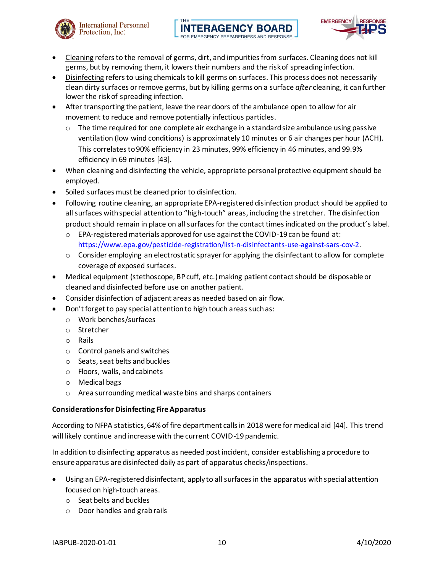



- Cleaning refers to the removal of germs, dirt, and impurities from surfaces. Cleaning does not kill germs, but by removing them, it lowers their numbers and the risk of spreading infection.
- Disinfecting refers to using chemicals to kill germs on surfaces. This process does not necessarily clean dirty surfaces or remove germs, but by killing germs on a surface *after* cleaning, it can further lower the risk of spreading infection.
- After transporting the patient, leave the rear doors of the ambulance open to allow for air movement to reduce and remove potentially infectious particles.
	- $\circ$  The time required for one complete air exchange in a standard size ambulance using passive ventilation (low wind conditions) is approximately 10 minutes or 6 air changes per hour (ACH). This correlates to 90% efficiency in 23 minutes, 99% efficiency in 46 minutes, and 99.9% efficiency in 69 minutes [43].
- When cleaning and disinfecting the vehicle, appropriate personal protective equipment should be employed.
- Soiled surfaces must be cleaned prior to disinfection.
- Following routine cleaning, an appropriate EPA-registered disinfection product should be applied to all surfaces with special attention to "high-touch" areas, including the stretcher. The disinfection product should remain in place on all surfaces for the contact times indicated on the product's label.
	- $\circ$  EPA-registered materials approved for use against the COVID-19 can be found at: <https://www.epa.gov/pesticide-registration/list-n-disinfectants-use-against-sars-cov-2>.
	- o Consider employing an electrostatic sprayer for applying the disinfectant to allow for complete coverage of exposed surfaces.
- Medical equipment (stethoscope, BP cuff, etc.) making patient contact should be disposable or cleaned and disinfected before use on another patient.
- Consider disinfection of adjacent areas as needed based on air flow.
- Don't forget to pay special attention to high touch areas such as:
	- o Work benches/surfaces
	- o Stretcher
	- o Rails
	- o Control panels and switches
	- o Seats, seat belts and buckles
	- o Floors, walls, and cabinets
	- o Medical bags
	- o Area surrounding medical waste bins and sharps containers

# **Considerations for Disinfecting Fire Apparatus**

According to NFPA statistics, 64% of fire department calls in 2018 were for medical aid [44]. This trend will likely continue and increase with the current COVID-19 pandemic.

In addition to disinfecting apparatus as needed post incident, consider establishing a procedure to ensure apparatus are disinfected daily as part of apparatus checks/inspections.

- Using an EPA-registered disinfectant, apply to all surfaces in the apparatus with special attention focused on high-touch areas.
	- o Seat belts and buckles
	- o Door handles and grab rails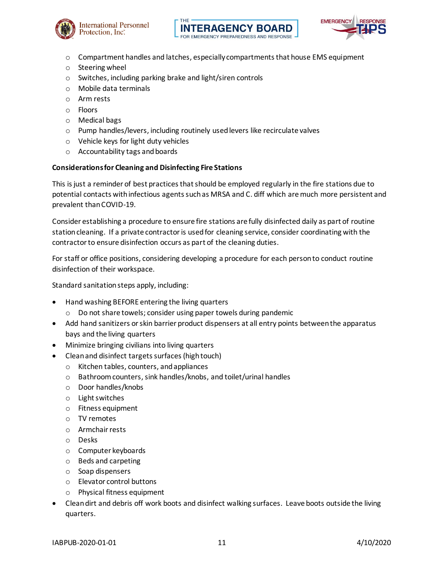





- $\circ$  Compartment handles and latches, especially compartments that house EMS equipment
- o Steering wheel
- o Switches, including parking brake and light/siren controls
- o Mobile data terminals
- o Arm rests
- o Floors
- o Medical bags
- o Pump handles/levers, including routinely used levers like recirculate valves
- o Vehicle keys for light duty vehicles
- o Accountability tags and boards

#### **Considerations for Cleaning and Disinfecting Fire Stations**

This is just a reminder of best practices that should be employed regularly in the fire stations due to potential contacts with infectious agents such as MRSA and C. diff which are much more persistent and prevalent than COVID-19.

Consider establishing a procedure to ensure fire stations are fully disinfected daily as part of routine station cleaning. If a private contractor is used for cleaning service, consider coordinating with the contractor to ensure disinfection occurs as part of the cleaning duties.

For staff or office positions, considering developing a procedure for each person to conduct routine disinfection of their workspace.

Standard sanitation steps apply, including:

- Hand washing BEFORE entering the living quarters
	- o Do not share towels; consider using paper towels during pandemic
- Add hand sanitizers or skin barrier product dispensers at all entry points between the apparatus bays and the living quarters
- Minimize bringing civilians into living quarters
	- Clean and disinfect targets surfaces (high touch)
		- o Kitchen tables, counters, and appliances
		- o Bathroom counters, sink handles/knobs, and toilet/urinal handles
		- o Door handles/knobs
		- o Light switches
		- o Fitness equipment
		- o TV remotes
		- o Armchair rests
		- o Desks
		- o Computer keyboards
		- o Beds and carpeting
		- o Soap dispensers
		- o Elevator control buttons
		- o Physical fitness equipment
- Clean dirt and debris off work boots and disinfect walking surfaces. Leave boots outside the living quarters.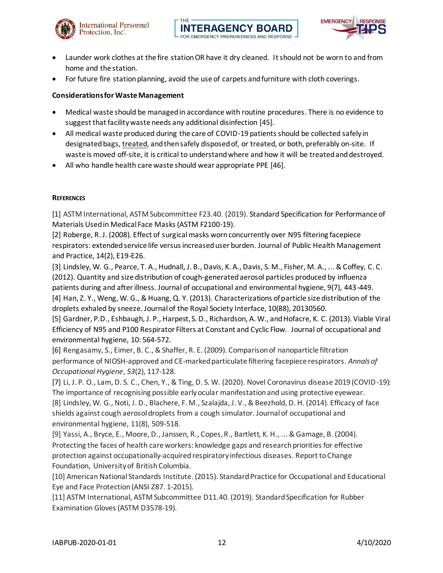



- Launder work clothes at the fire station OR have it dry cleaned. It should not be worn to and from home and the station.
- For future fire station planning, avoid the use of carpets and furniture with cloth coverings.

#### **Considerations for Waste Management**

- Medical waste should be managed in accordance with routine procedures. There is no evidence to suggest that facility waste needs any additional disinfection [45].
- All medical waste produced during the care of COVID-19 patients should be collected safely in designated bags, treated, and then safely disposed of, or treated, or both, preferably on-site. If waste is moved off-site, it is critical to understand where and how it will be treated and destroyed.
- All who handle health care waste should wear appropriate PPE [46].

#### **REFERENCES**

[1] ASTM International, ASTM Subcommittee F23.40. (2019). Standard Specification for Performance of Materials Used in Medical Face Masks (ASTM F2100-19).

[2] Roberge, R. J. (2008). Effect of surgical masks worn concurrently over N95 filtering facepiece respirators: extended service life versus increased user burden. Journal of Public Health Management and Practice, 14(2), E19-E26.

[3] Lindsley, W. G., Pearce, T. A., Hudnall, J. B., Davis, K. A., Davis, S. M., Fisher, M. A., ... & Coffey, C. C. (2012). Quantity and size distribution of cough-generated aerosol particles produced by influenza patients during and after illness. Journal of occupational and environmental hygiene, 9(7), 443-449. [4] Han, Z. Y., Weng, W. G., & Huang, Q. Y. (2013). Characterizations of particle size distribution of the droplets exhaled by sneeze. Journal of the Royal Society Interface, 10(88), 20130560.

[5] Gardner, P.D., Eshbaugh, J. P., Harpest, S. D., Richardson, A. W., and Hofacre, K. C. (2013). Viable Viral Efficiency of N95 and P100 Respirator Filters at Constant and Cyclic Flow. Journal of occupational and environmental hygiene, 10: 564-572.

[6] Rengasamy, S., Eimer, B. C., & Shaffer, R. E. (2009). Comparison of nanoparticle filtration performance of NIOSH-approved and CE-marked particulate filtering facepiece respirators. *Annals of Occupational Hygiene*, *53*(2), 117-128.

[7] Li, J. P. O., Lam, D. S. C., Chen, Y., & Ting, D. S. W. (2020). Novel Coronavirus disease 2019 (COVID-19): The importance of recognising possible early ocular manifestation and using protective eyewear. [8] Lindsley, W. G., Noti, J. D., Blachere, F. M., Szalajda, J. V., & Beezhold, D. H. (2014). Efficacy of face shields against cough aerosol droplets from a cough simulator. Journal of occupational and environmental hygiene, 11(8), 509-518.

[9] Yassi, A., Bryce, E., Moore, D., Janssen, R., Copes, R., Bartlett, K. H., ... & Gamage, B. (2004). Protecting the faces of health care workers: knowledge gaps and research priorities for effective protection against occupationally-acquired respiratory infectious diseases. Report to Change Foundation, University of British Columbia.

[10] American National Standards Institute. (2015). Standard Practice for Occupational and Educational Eye and Face Protection (ANSI Z87. 1‐2015).

[11] ASTM International, ASTM Subcommittee D11.40. (2019). Standard Specification for Rubber Examination Gloves (ASTM D3578-19).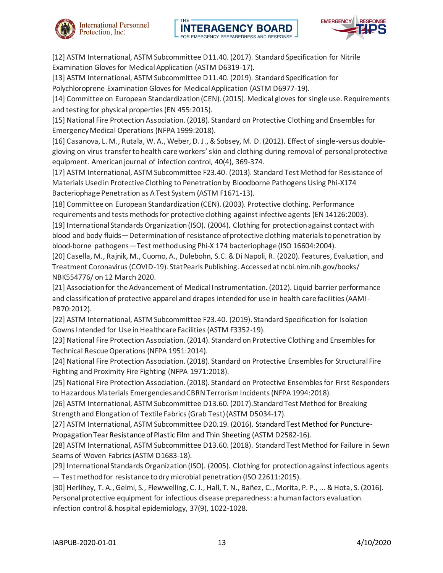





[12] ASTM International, ASTM Subcommittee D11.40. (2017). Standard Specification for Nitrile Examination Gloves for Medical Application (ASTM D6319-17).

[13] ASTM International, ASTM Subcommittee D11.40. (2019). Standard Specification for

Polychloroprene Examination Gloves for Medical Application (ASTM D6977-19).

[14] Committee on European Standardization (CEN). (2015). Medical gloves for single use. Requirements and testing for physical properties (EN 455:2015).

[15] National Fire Protection Association. (2018). Standard on Protective Clothing and Ensembles for Emergency Medical Operations (NFPA 1999:2018).

[16] Casanova, L. M., Rutala, W. A., Weber, D. J., & Sobsey, M. D. (2012). Effect of single-versus doublegloving on virus transfer to health care workers' skin and clothing during removal of personal protective equipment. American journal of infection control, 40(4), 369-374.

[17] ASTM International, ASTM Subcommittee F23.40. (2013). Standard Test Method for Resistance of Materials Used in Protective Clothing to Penetration by Bloodborne Pathogens Using Phi-X174 Bacteriophage Penetration as A Test System (ASTM F1671-13).

[18] Committee on European Standardization (CEN). (2003). Protective clothing. Performance requirements and tests methods for protective clothing against infective agents (EN 14126:2003). [19] International Standards Organization (ISO). (2004). Clothing for protection against contact with blood and body fluids—Determination of resistance of protective clothing materials to penetration by blood-borne pathogens—Test method using Phi-X 174 bacteriophage (ISO 16604:2004).

[20] Casella, M., Rajnik, M., Cuomo, A., Dulebohn, S.C. & Di Napoli, R. (2020). Features, Evaluation, and Treatment Coronavirus (COVID-19). StatPearls Publishing. Accessed at ncbi.nim.nih.gov/books/ NBK554776/ on 12 March 2020.

[21] Association for the Advancement of Medical Instrumentation. (2012). Liquid barrier performance and classification of protective apparel and drapes intended for use in health care facilities (AAMI-PB70:2012).

[22] ASTM International, ASTM Subcommittee F23.40. (2019). Standard Specification for Isolation Gowns Intended for Use in Healthcare Facilities (ASTM F3352-19).

[23] National Fire Protection Association. (2014). Standard on Protective Clothing and Ensembles for Technical Rescue Operations (NFPA 1951:2014).

[24] National Fire Protection Association. (2018). Standard on Protective Ensembles for Structural Fire Fighting and Proximity Fire Fighting (NFPA 1971:2018).

[25] National Fire Protection Association. (2018). Standard on Protective Ensembles for First Responders to Hazardous Materials Emergencies and CBRN Terrorism Incidents (NFPA 1994:2018).

[26] ASTM International, ASTM Subcommittee D13.60. (2017).Standard Test Method for Breaking Strength and Elongation of Textile Fabrics (Grab Test) (ASTM D5034-17).

[27] ASTM International, ASTM Subcommittee D20.19. (2016). Standard Test Method for Puncture-Propagation Tear Resistance of Plastic Film and Thin Sheeting (ASTM D2582-16).

[28] ASTM International, ASTM Subcommittee D13.60. (2018). Standard Test Method for Failure in Sewn Seams of Woven Fabrics (ASTM D1683-18).

[29] International Standards Organization (ISO). (2005). Clothing for protection against infectious agents — Test method for resistance to dry microbial penetration (ISO 22611:2015).

[30] Herlihey, T. A., Gelmi, S., Flewwelling, C. J., Hall, T. N., Bañez, C., Morita, P. P., ... & Hota, S. (2016). Personal protective equipment for infectious disease preparedness: a human factors evaluation. infection control & hospital epidemiology, 37(9), 1022-1028.